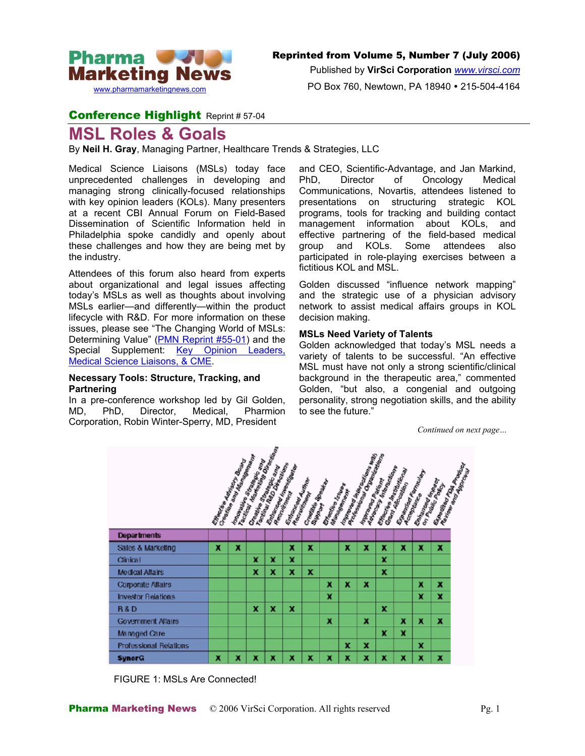

Published by **VirSci Corporation** *[www.virsci.com](http://www.virsci.com/)*

PO Box 760, Newtown, PA 18940 • 215-504-4164

### Conference Highlight Reprint # 57-04

# **MSL Roles & Goals**

By **Neil H. Gray**, Managing Partner, Healthcare Trends & Strategies, LLC

Medical Science Liaisons (MSLs) today face unprecedented challenges in developing and managing strong clinically-focused relationships with key opinion leaders (KOLs). Many presenters at a recent CBI Annual Forum on Field-Based Dissemination of Scientific Information held in Philadelphia spoke candidly and openly about these challenges and how they are being met by the industry.

Attendees of this forum also heard from experts about organizational and legal issues affecting today's MSLs as well as thoughts about involving MSLs earlier—and differently—within the product lifecycle with R&D. For more information on these issues, please see "The Changing World of MSLs: Determining Value" [\(PMN Reprint #55-01\)](http://www.pharma-mkting.com/news/pmn55-article01.html) and the Special Supplement: [Key Opinion Leaders,](http://www.pharma-mkting.com/news/PMNSupplementPhysEd.htm) [Medical Science Liaisons, & CME](http://www.pharma-mkting.com/news/PMNSupplementPhysEd.htm).

### **Necessary Tools: Structure, Tracking, and Partnering**

In a pre-conference workshop led by Gil Golden, MD, PhD, Director, Medical, Pharmion Corporation, Robin Winter-Sperry, MD, President

and CEO, Scientific-Advantage, and Jan Markind, PhD, Director of Oncology Medical Communications, Novartis, attendees listened to presentations on structuring strategic KOL programs, tools for tracking and building contact management information about KOLs, and effective partnering of the field-based medical group and KOLs. Some attendees also participated in role-playing exercises between a fictitious KOL and MSL.

Golden discussed "influence network mapping" and the strategic use of a physician advisory network to assist medical affairs groups in KOL decision making.

### **MSLs Need Variety of Talents**

Golden acknowledged that today's MSL needs a variety of talents to be successful. "An effective MSL must have not only a strong scientific/clinical background in the therapeutic area," commented Golden, "but also, a congenial and outgoing personality, strong negotiation skills, and the ability to see the future."

*Continued on next page…*



FIGURE 1: MSLs Are Connected!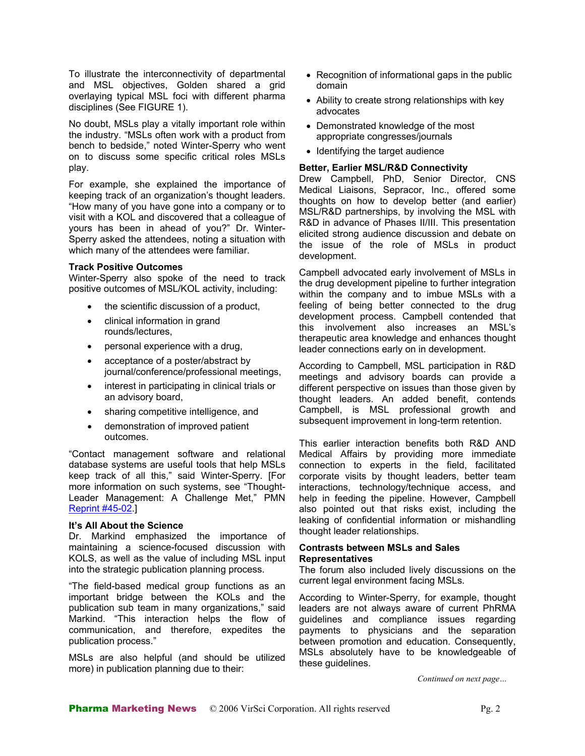To illustrate the interconnectivity of departmental and MSL objectives, Golden shared a grid overlaying typical MSL foci with different pharma disciplines (See FIGURE 1).

No doubt, MSLs play a vitally important role within the industry. "MSLs often work with a product from bench to bedside," noted Winter-Sperry who went on to discuss some specific critical roles MSLs play.

For example, she explained the importance of keeping track of an organization's thought leaders. "How many of you have gone into a company or to visit with a KOL and discovered that a colleague of yours has been in ahead of you?" Dr. Winter-Sperry asked the attendees, noting a situation with which many of the attendees were familiar.

Winter-Sperry also spoke of the need to track positive outcomes of MSL/KOL activity, including:

- the scientific discussion of a product,
- clinical information in grand rounds/lectures,
- personal experience with a drug,
- acceptance of a poster/abstract by<br>journal/conference/professional meetings,
- interest in participating in clinical trials or an advisory board,
- sharing competitive intelligence, and
- demonstration of improved patient

"Contact management software and relational database systems are useful tools that help MSLs keep track of all this," said Winter-Sperry. [For more information on such systems, see "Thought-Leader Management: A Challenge Met," PMN [Reprint #45-02](http://www.pharma-mkting.com/news/pmn45-article02.html).]

### **It's All About the Science**

Dr. Markind emphasized the importance of maintaining a science-focused discussion with KOLS, as well as the value of including MSL input into the strategic publication planning process.

"The field-based medical group functions as an current legal environment facing MSLs. important bridge between the KOLs and the publication sub team in many organizations," said Markind. "This interaction helps the flow of communication, and therefore, expedites the publication process."

MSLs are also helpful (and should be utilized MSLs absolutely<br>mean) is publication alonging due to the in more) in publication planning due to their:

- Recognition of informational gaps in the public domain
- Ability to create strong relationships with key advocates
- Demonstrated knowledge of the most appropriate congresses/journals
- Identifying the target audience

### **Better, Earlier MSL/R&D Connectivity**

Drew Campbell, PhD, Senior Director, CNS Medical Liaisons, Sepracor, Inc., offered some thoughts on how to develop better (and earlier) MSL/R&D partnerships, by involving the MSL with R&D in advance of Phases II/III. This presentation elicited strong audience discussion and debate on the issue of the role of MSLs in product development.

**Track Positive Outcomes**<br>Wister Carega also early of the good to track Campbell advocated early involvement of MSLs in the drug development pipeline to further integration within the company and to imbue MSLs with a feeling of being better connected to the drug development process. Campbell contended that this involvement also increases an MSL's therapeutic area knowledge and enhances thought leader connections early on in development.

> According to Campbell, MSL participation in R&D meetings and advisory boards can provide a different perspective on issues than those given by thought leaders. An added benefit, contends Campbell, is MSL professional growth and subsequent improvement in long-term retention.

outcomes. This earlier interaction benefits both R&D AND Medical Affairs by providing more immediate connection to experts in the field, facilitated corporate visits by thought leaders, better team interactions, technology/technique access, and help in feeding the pipeline. However, Campbell also pointed out that risks exist, including the leaking of confidential information or mishandling thought leader relationships.

### **Contrasts between MSLs and Sales Representatives**

The forum also included lively discussions on the

According to Winter-Sperry, for example, thought leaders are not always aware of current PhRMA guidelines and compliance issues regarding payments to physicians and the separation between promotion and education. Consequently, MSLs absolutely have to be knowledgeable of

*Continued on next page…*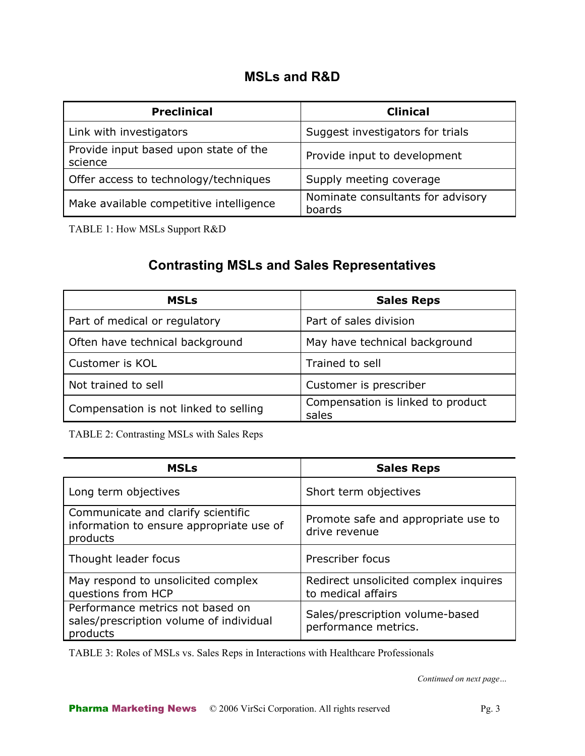## **MSLs and R&D**

| <b>Preclinical</b>                               | <b>Clinical</b>                             |
|--------------------------------------------------|---------------------------------------------|
| Link with investigators                          | Suggest investigators for trials            |
| Provide input based upon state of the<br>science | Provide input to development                |
| Offer access to technology/techniques            | Supply meeting coverage                     |
| Make available competitive intelligence          | Nominate consultants for advisory<br>boards |

TABLE 1: How MSLs Support R&D

# **Contrasting MSLs and Sales Representatives**

| <b>MSLs</b>                           | <b>Sales Reps</b>                          |
|---------------------------------------|--------------------------------------------|
| Part of medical or regulatory         | Part of sales division                     |
| Often have technical background       | May have technical background              |
| Customer is KOL                       | Trained to sell                            |
| Not trained to sell                   | Customer is prescriber                     |
| Compensation is not linked to selling | Compensation is linked to product<br>sales |

TABLE 2: Contrasting MSLs with Sales Reps

| <b>MSLs</b>                                                                                | <b>Sales Reps</b>                                           |
|--------------------------------------------------------------------------------------------|-------------------------------------------------------------|
| Long term objectives                                                                       | Short term objectives                                       |
| Communicate and clarify scientific<br>information to ensure appropriate use of<br>products | Promote safe and appropriate use to<br>drive revenue        |
| Thought leader focus                                                                       | Prescriber focus                                            |
| May respond to unsolicited complex<br>questions from HCP                                   | Redirect unsolicited complex inquires<br>to medical affairs |
| Performance metrics not based on<br>sales/prescription volume of individual<br>products    | Sales/prescription volume-based<br>performance metrics.     |

TABLE 3: Roles of MSLs vs. Sales Reps in Interactions with Healthcare Professionals

*Continued on next page…*